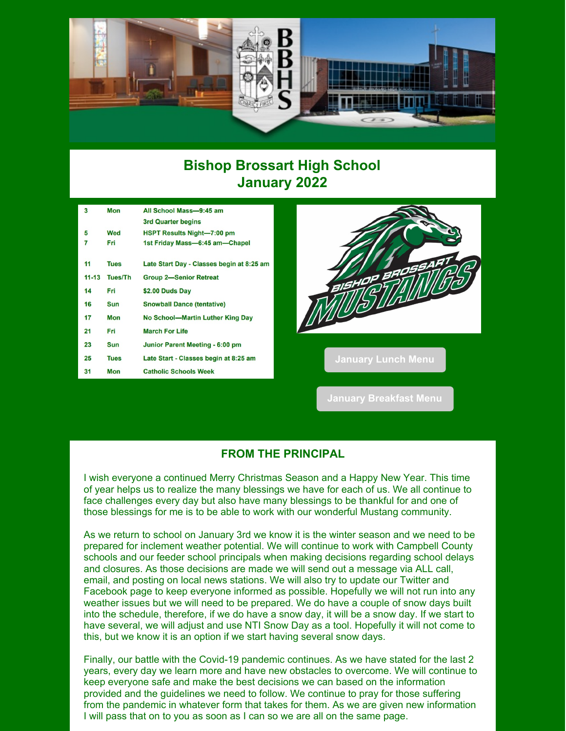

## **Bishop Brossart High School January 2022**

| 3         | <b>Mon</b>  | All School Mass-9:45 am                   |  |
|-----------|-------------|-------------------------------------------|--|
|           |             | 3rd Quarter begins                        |  |
| 5         | Wed         | <b>HSPT Results Night-7:00 pm</b>         |  |
| 7         | Fri         | 1st Friday Mass-6:45 am-Chapel            |  |
|           |             |                                           |  |
| 11        | <b>Tues</b> | Late Start Day - Classes begin at 8:25 am |  |
| $11 - 13$ | Tues/Th     | <b>Group 2-Senior Retreat</b>             |  |
| 14        | Fri         | \$2.00 Duds Day                           |  |
| 16        | <b>Sun</b>  | <b>Snowball Dance (tentative)</b>         |  |
| 17        | Mon         | No School-Martin Luther King Day          |  |
| 21        | Fri         | <b>March For Life</b>                     |  |
| 23        | <b>Sun</b>  | Junior Parent Meeting - 6:00 pm           |  |
| 25        | <b>Tues</b> | Late Start - Classes begin at 8:25 am     |  |
| 31        | <b>Mon</b>  | <b>Catholic Schools Week</b>              |  |



**January [Breakfast](https://files.constantcontact.com/3fba4eaa201/7210e38a-6cc8-45d9-8d50-7099ce35ff7e.pdf?rdr=true) Menu**

### **FROM THE PRINCIPAL**

I wish everyone a continued Merry Christmas Season and a Happy New Year. This time of year helps us to realize the many blessings we have for each of us. We all continue to face challenges every day but also have many blessings to be thankful for and one of those blessings for me is to be able to work with our wonderful Mustang community.

As we return to school on January 3rd we know it is the winter season and we need to be prepared for inclement weather potential. We will continue to work with Campbell County schools and our feeder school principals when making decisions regarding school delays and closures. As those decisions are made we will send out a message via ALL call, email, and posting on local news stations. We will also try to update our Twitter and Facebook page to keep everyone informed as possible. Hopefully we will not run into any weather issues but we will need to be prepared. We do have a couple of snow days built into the schedule, therefore, if we do have a snow day, it will be a snow day. If we start to have several, we will adjust and use NTI Snow Day as a tool. Hopefully it will not come to this, but we know it is an option if we start having several snow days.

Finally, our battle with the Covid-19 pandemic continues. As we have stated for the last 2 years, every day we learn more and have new obstacles to overcome. We will continue to keep everyone safe and make the best decisions we can based on the information provided and the guidelines we need to follow. We continue to pray for those suffering from the pandemic in whatever form that takes for them. As we are given new information I will pass that on to you as soon as I can so we are all on the same page.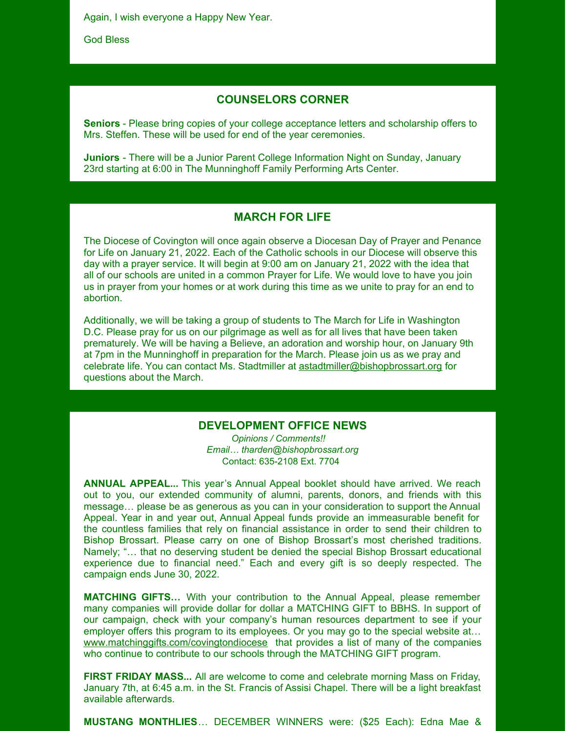Again, I wish everyone a Happy New Year.

God Bless

#### **COUNSELORS CORNER**

**Seniors** - Please bring copies of your college acceptance letters and scholarship offers to Mrs. Steffen. These will be used for end of the year ceremonies.

**Juniors** - There will be a Junior Parent College Information Night on Sunday, January 23rd starting at 6:00 in The Munninghoff Family Performing Arts Center.

#### **MARCH FOR LIFE**

The Diocese of Covington will once again observe a Diocesan Day of Prayer and Penance for Life on January 21, 2022. Each of the Catholic schools in our Diocese will observe this day with a prayer service. It will begin at 9:00 am on January 21, 2022 with the idea that all of our schools are united in a common Prayer for Life. We would love to have you join us in prayer from your homes or at work during this time as we unite to pray for an end to abortion.

Additionally, we will be taking a group of students to The March for Life in Washington D.C. Please pray for us on our pilgrimage as well as for all lives that have been taken prematurely. We will be having a Believe, an adoration and worship hour, on January 9th at 7pm in the Munninghoff in preparation for the March. Please join us as we pray and celebrate life. You can contact Ms. Stadtmiller at [astadtmiller@bishopbrossart.org](mailto:astadtmiller@bishopbrossart.org) for questions about the March.

#### **DEVELOPMENT OFFICE NEWS**

*Opinions / Comments!! Email… tharden@bishopbrossart.org* Contact: 635-2108 Ext. 7704

**ANNUAL APPEAL...** This year's Annual Appeal booklet should have arrived. We reach out to you, our extended community of alumni, parents, donors, and friends with this message… please be as generous as you can in your consideration to support the Annual Appeal. Year in and year out, Annual Appeal funds provide an immeasurable benefit for the countless families that rely on financial assistance in order to send their children to Bishop Brossart. Please carry on one of Bishop Brossart's most cherished traditions. Namely; "… that no deserving student be denied the special Bishop Brossart educational experience due to financial need." Each and every gift is so deeply respected. The campaign ends June 30, 2022.

**MATCHING GIFTS…** With your contribution to the Annual Appeal, please remember many companies will provide dollar for dollar a MATCHING GIFT to BBHS. In support of our campaign, check with your company's human resources department to see if your employer offers this program to its employees. Or you may go to the special website at... [www.matchinggifts.com/covingtondiocese](http://www.matchinggifts.com/covingtondiocese) that provides a list of many of the companies who continue to contribute to our schools through the MATCHING GIFT program.

**FIRST FRIDAY MASS...** All are welcome to come and celebrate morning Mass on Friday, January 7th, at 6:45 a.m. in the St. Francis of Assisi Chapel. There will be a light breakfast available afterwards.

**MUSTANG MONTHLIES**… DECEMBER WINNERS were: (\$25 Each): Edna Mae &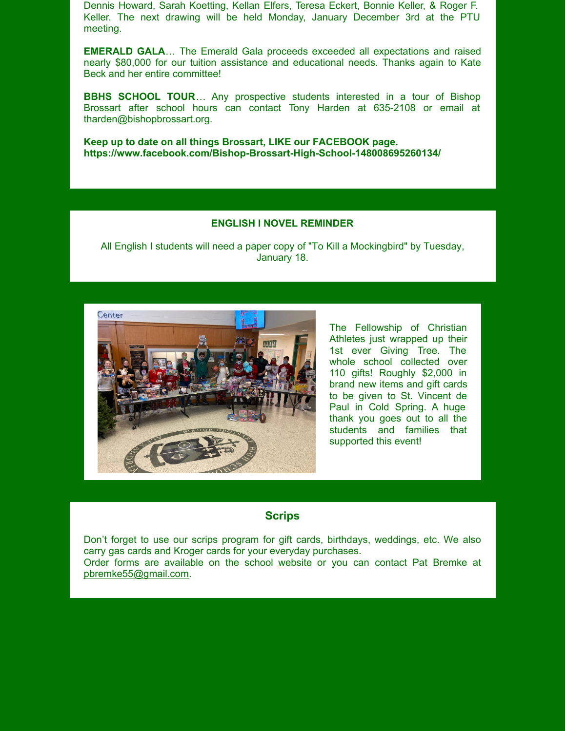Dennis Howard, Sarah Koetting, Kellan Elfers, Teresa Eckert, Bonnie Keller, & Roger F. Keller. The next drawing will be held Monday, January December 3rd at the PTU meeting.

**EMERALD GALA**… The Emerald Gala proceeds exceeded all expectations and raised nearly \$80,000 for our tuition assistance and educational needs. Thanks again to Kate Beck and her entire committee!

**BBHS SCHOOL TOUR**… Any prospective students interested in a tour of Bishop Brossart after school hours can contact Tony Harden at 635-2108 or email at tharden@bishopbrossart.org.

**Keep up to date on all things Brossart, LIKE our FACEBOOK page. https://www.facebook.com/Bishop-Brossart-High-School-148008695260134/**

#### **ENGLISH I NOVEL REMINDER**

All English I students will need a paper copy of "To Kill a Mockingbird" by Tuesday, January 18.



The Fellowship of Christian Athletes just wrapped up their 1st ever Giving Tree. The whole school collected over 110 gifts! Roughly \$2,000 in brand new items and gift cards to be given to St. Vincent de Paul in Cold Spring. A huge thank you goes out to all the students and families that supported this event!

#### **Scrips**

Don't forget to use our scrips program for gift cards, birthdays, weddings, etc. We also carry gas cards and Kroger cards for your everyday purchases.

Order forms are available on the school [website](http://www.bishopbrossart.org/page/kroger-scrips) or you can contact Pat Bremke at [pbremke55@gmail.com](mailto:pbremke55@gmail.com).